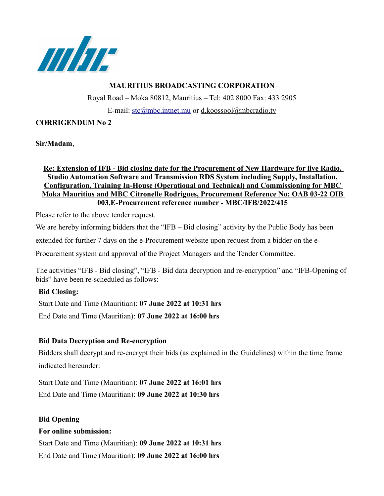

### **MAURITIUS BROADCASTING CORPORATION**

Royal Road – Moka 80812, Mauritius – Tel: 402 8000 Fax: 433 2905 E-mail: [stc@mbc.intnet.mu](mailto:stc@mbc.intnet.mu) or d.koossool@mbcradio.tv

### **CORRIGENDUM No 2**

**Sir/Madam**,

#### **Re: Extension of IFB - Bid closing date for the Procurement of New Hardware for live Radio, Studio Automation Software and Transmission RDS System including Supply, Installation, Configuration, Training In-House (Operational and Technical) and Commissioning for MBC Moka Mauritius and MBC Citronelle Rodrigues, Procurement Reference No: OAB 03-22 OIB 003,E-Procurement reference number - MBC/IFB/2022/415**

Please refer to the above tender request.

We are hereby informing bidders that the "IFB – Bid closing" activity by the Public Body has been

extended for further 7 days on the e-Procurement website upon request from a bidder on the e-

Procurement system and approval of the Project Managers and the Tender Committee.

The activities "IFB - Bid closing", "IFB - Bid data decryption and re-encryption" and "IFB-Opening of bids" have been re-scheduled as follows:

# **Bid Closing:**

Start Date and Time (Mauritian): **07 June 2022 at 10:31 hrs** End Date and Time (Mauritian): **07 June 2022 at 16:00 hrs** 

# **Bid Data Decryption and Re-encryption**

Bidders shall decrypt and re-encrypt their bids (as explained in the Guidelines) within the time frame indicated hereunder:

Start Date and Time (Mauritian): **07 June 2022 at 16:01 hrs** End Date and Time (Mauritian): **09 June 2022 at 10:30 hrs**

# **Bid Opening**

#### **For online submission:**

Start Date and Time (Mauritian): **09 June 2022 at 10:31 hrs**  End Date and Time (Mauritian): **09 June 2022 at 16:00 hrs**